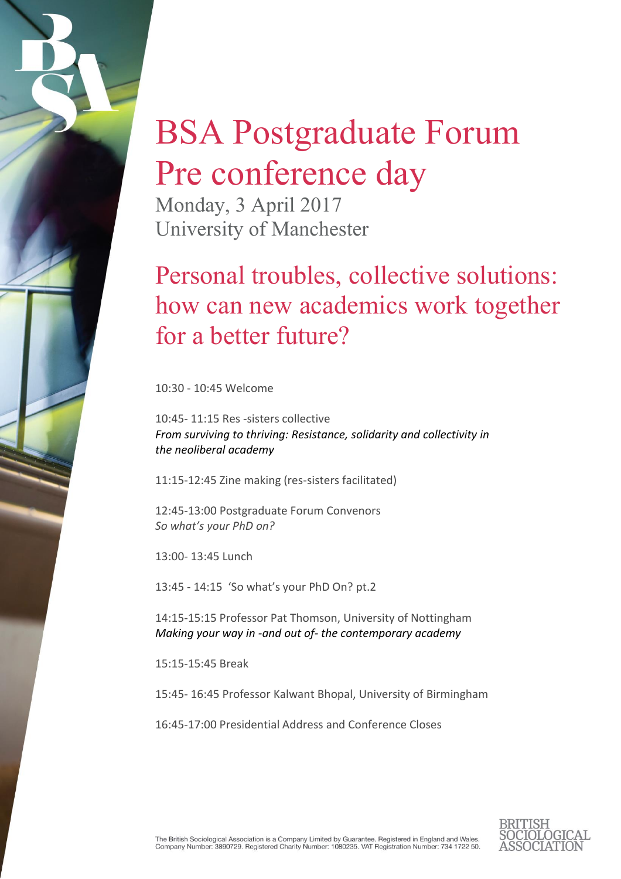## BSA Postgraduate Forum Pre conference day

Monday, 3 April 2017 University of Manchester

## Personal troubles, collective solutions: how can new academics work together for a better future?

10:30 - 10:45 Welcome

10:45- 11:15 Res -sisters collective *From surviving to thriving: Resistance, solidarity and collectivity in the neoliberal academy*

11:15-12:45 Zine making (res-sisters facilitated)

12:45-13:00 Postgraduate Forum Convenors *So what's your PhD on?*

13:00- 13:45 Lunch

13:45 - 14:15 'So what's your PhD On? pt.2

14:15-15:15 Professor Pat Thomson, University of Nottingham *Making your way in -and out of- the contemporary academy*

15:15-15:45 Break

15:45- 16:45 Professor Kalwant Bhopal, University of Birmingham

16:45-17:00 Presidential Address and Conference Closes